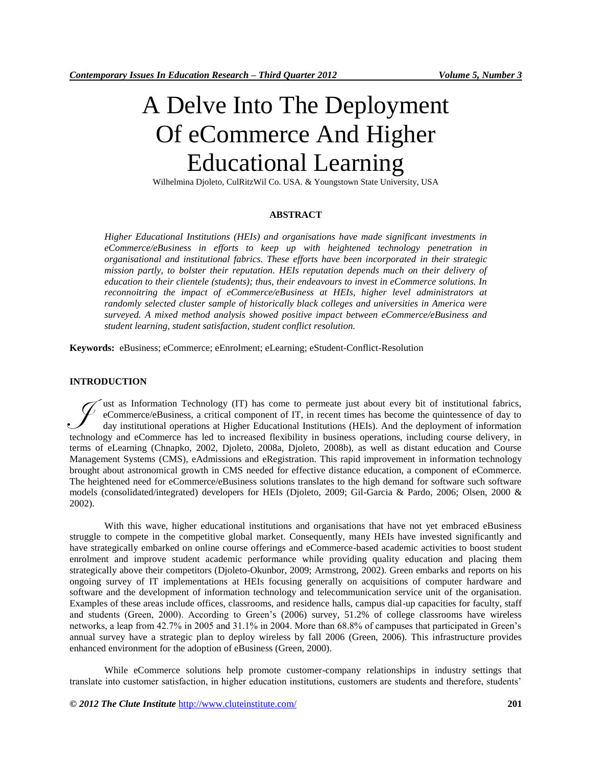# A Delve Into The Deployment Of eCommerce And Higher Educational Learning

Wilhelmina Djoleto, CulRitzWil Co. USA. & Youngstown State University, USA

#### **ABSTRACT**

*Higher Educational Institutions (HEIs) and organisations have made significant investments in eCommerce/eBusiness in efforts to keep up with heightened technology penetration in organisational and institutional fabrics. These efforts have been incorporated in their strategic mission partly, to bolster their reputation. HEIs reputation depends much on their delivery of education to their clientele (students); thus, their endeavours to invest in eCommerce solutions. In reconnoitring the impact of eCommerce/eBusiness at HEIs, higher level administrators at randomly selected cluster sample of historically black colleges and universities in America were surveyed. A mixed method analysis showed positive impact between eCommerce/eBusiness and student learning, student satisfaction, student conflict resolution.*

**Keywords:** eBusiness; eCommerce; eEnrolment; eLearning; eStudent-Conflict-Resolution

#### **INTRODUCTION**

ust as Information Technology (IT) has come to permeate just about every bit of institutional fabrics, eCommerce/eBusiness, a critical component of IT, in recent times has become the quintessence of day to day institutional operations at Higher Educational Institutions (HEIs). And the deployment of information technology and eCommerce has led to increased flexibility in business operations, including course delivery, in terms of eLearning (Chnapko, 2002, Djoleto, 2008a, Djoleto, 2008b), as well as distant education and Course Management Systems (CMS), eAdmissions and eRegistration. This rapid improvement in information technology brought about astronomical growth in CMS needed for effective distance education, a component of eCommerce. The heightened need for eCommerce/eBusiness solutions translates to the high demand for software such software models (consolidated/integrated) developers for HEIs (Djoleto, 2009; Gil-Garcia & Pardo, 2006; Olsen, 2000 & 2002). J

With this wave, higher educational institutions and organisations that have not yet embraced eBusiness struggle to compete in the competitive global market. Consequently, many HEIs have invested significantly and have strategically embarked on online course offerings and eCommerce-based academic activities to boost student enrolment and improve student academic performance while providing quality education and placing them strategically above their competitors (Djoleto-Okunbor, 2009; Armstrong, 2002). Green embarks and reports on his ongoing survey of IT implementations at HEIs focusing generally on acquisitions of computer hardware and software and the development of information technology and telecommunication service unit of the organisation. Examples of these areas include offices, classrooms, and residence halls, campus dial-up capacities for faculty, staff and students (Green, 2000). According to Green's (2006) survey, 51.2% of college classrooms have wireless networks, a leap from 42.7% in 2005 and 31.1% in 2004. More than 68.8% of campuses that participated in Green's annual survey have a strategic plan to deploy wireless by fall 2006 (Green, 2006). This infrastructure provides enhanced environment for the adoption of eBusiness (Green, 2000).

While eCommerce solutions help promote customer-company relationships in industry settings that translate into customer satisfaction, in higher education institutions, customers are students and therefore, students'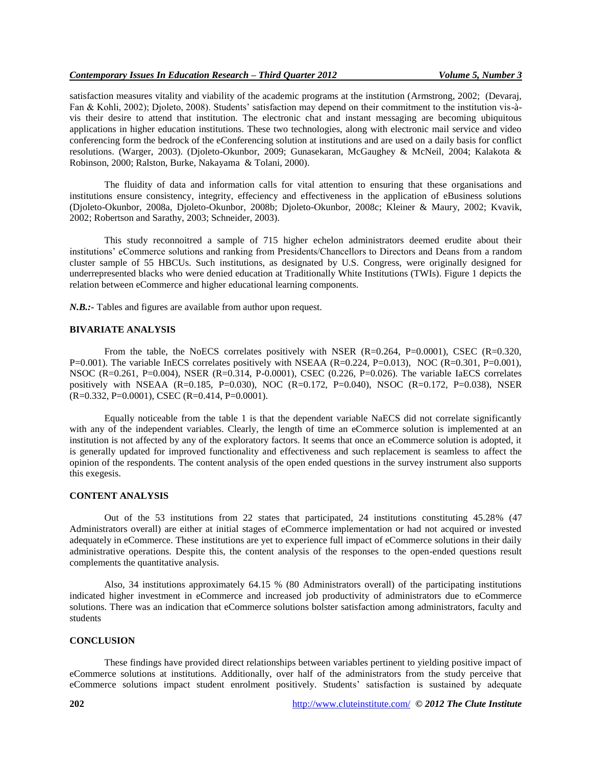## *Contemporary Issues In Education Research – Third Quarter 2012 Volume 5, Number 3*

satisfaction measures vitality and viability of the academic programs at the institution (Armstrong, 2002; (Devaraj, Fan & Kohli, 2002); Djoleto, 2008). Students' satisfaction may depend on their commitment to the institution vis-àvis their desire to attend that institution. The electronic chat and instant messaging are becoming ubiquitous applications in higher education institutions. These two technologies, along with electronic mail service and video conferencing form the bedrock of the eConferencing solution at institutions and are used on a daily basis for conflict resolutions. (Warger, 2003). (Djoleto-Okunbor, 2009; Gunasekaran, McGaughey & McNeil, 2004; Kalakota & Robinson, 2000; Ralston, Burke, Nakayama & Tolani, 2000).

The fluidity of data and information calls for vital attention to ensuring that these organisations and institutions ensure consistency, integrity, effeciency and effectiveness in the application of eBusiness solutions (Djoleto-Okunbor, 2008a, Djoleto-Okunbor, 2008b; Djoleto-Okunbor, 2008c; Kleiner & Maury, 2002; Kvavik, 2002; Robertson and Sarathy, 2003; Schneider, 2003).

This study reconnoitred a sample of 715 higher echelon administrators deemed erudite about their institutions' eCommerce solutions and ranking from Presidents/Chancellors to Directors and Deans from a random cluster sample of 55 HBCUs. Such institutions, as designated by U.S. Congress, were originally designed for underrepresented blacks who were denied education at Traditionally White Institutions (TWIs). Figure 1 depicts the relation between eCommerce and higher educational learning components.

*N.B.*: Tables and figures are available from author upon request.

## **BIVARIATE ANALYSIS**

From the table, the NoECS correlates positively with NSER  $(R=0.264, P=0.0001)$ , CSEC  $(R=0.320, P=0.0001)$  $P=0.001$ ). The variable InECS correlates positively with NSEAA (R=0.224, P=0.013), NOC (R=0.301, P=0.001), NSOC (R=0.261, P=0.004), NSER (R=0.314, P-0.0001), CSEC (0.226, P=0.026). The variable IaECS correlates positively with NSEAA (R=0.185, P=0.030), NOC (R=0.172, P=0.040), NSOC (R=0.172, P=0.038), NSER (R=0.332, P=0.0001), CSEC (R=0.414, P=0.0001).

Equally noticeable from the table 1 is that the dependent variable NaECS did not correlate significantly with any of the independent variables. Clearly, the length of time an eCommerce solution is implemented at an institution is not affected by any of the exploratory factors. It seems that once an eCommerce solution is adopted, it is generally updated for improved functionality and effectiveness and such replacement is seamless to affect the opinion of the respondents. The content analysis of the open ended questions in the survey instrument also supports this exegesis.

#### **CONTENT ANALYSIS**

Out of the 53 institutions from 22 states that participated, 24 institutions constituting 45.28% (47 Administrators overall) are either at initial stages of eCommerce implementation or had not acquired or invested adequately in eCommerce. These institutions are yet to experience full impact of eCommerce solutions in their daily administrative operations. Despite this, the content analysis of the responses to the open-ended questions result complements the quantitative analysis.

Also, 34 institutions approximately 64.15 % (80 Administrators overall) of the participating institutions indicated higher investment in eCommerce and increased job productivity of administrators due to eCommerce solutions. There was an indication that eCommerce solutions bolster satisfaction among administrators, faculty and students

#### **CONCLUSION**

These findings have provided direct relationships between variables pertinent to yielding positive impact of eCommerce solutions at institutions. Additionally, over half of the administrators from the study perceive that eCommerce solutions impact student enrolment positively. Students' satisfaction is sustained by adequate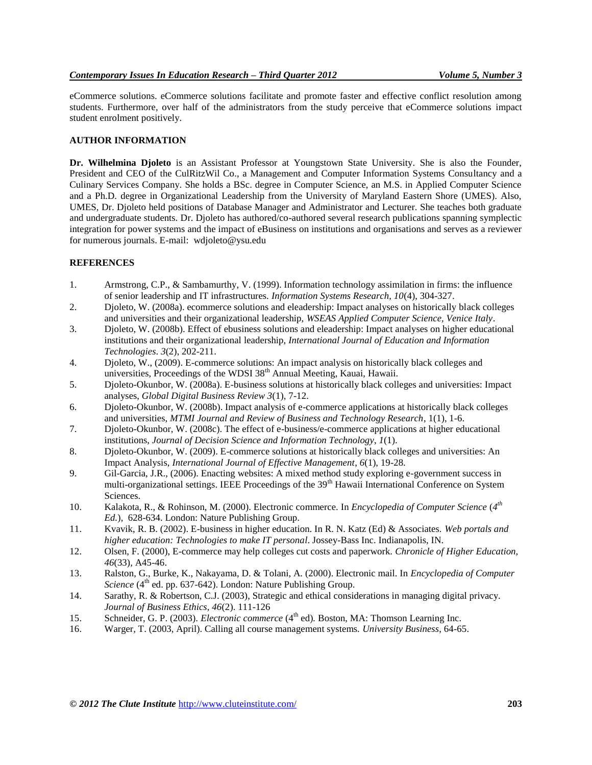eCommerce solutions. eCommerce solutions facilitate and promote faster and effective conflict resolution among students. Furthermore, over half of the administrators from the study perceive that eCommerce solutions impact student enrolment positively.

# **AUTHOR INFORMATION**

**Dr. Wilhelmina Djoleto** is an Assistant Professor at Youngstown State University. She is also the Founder, President and CEO of the CulRitzWil Co., a Management and Computer Information Systems Consultancy and a Culinary Services Company. She holds a BSc. degree in Computer Science, an M.S. in Applied Computer Science and a Ph.D. degree in Organizational Leadership from the University of Maryland Eastern Shore (UMES). Also, UMES, Dr. Djoleto held positions of Database Manager and Administrator and Lecturer. She teaches both graduate and undergraduate students. Dr. Djoleto has authored/co-authored several research publications spanning symplectic integration for power systems and the impact of eBusiness on institutions and organisations and serves as a reviewer for numerous journals. E-mail: wdjoleto@ysu.edu

# **REFERENCES**

- 1. Armstrong, C.P., & Sambamurthy, V. (1999). Information technology assimilation in firms: the influence of senior leadership and IT infrastructures. *Information Systems Research, 10*(4), 304-327.
- 2. Djoleto, W. (2008a). ecommerce solutions and eleadership: Impact analyses on historically black colleges and universities and their organizational leadership, *WSEAS Applied Computer Science, Venice Italy*.
- 3. Djoleto, W. (2008b). Effect of ebusiness solutions and eleadership: Impact analyses on higher educational institutions and their organizational leadership, *International Journal of Education and Information Technologies*. *3*(2), 202-211.
- 4. Djoleto, W., (2009). E-commerce solutions: An impact analysis on historically black colleges and universities, Proceedings of the WDSI 38<sup>th</sup> Annual Meeting, Kauai, Hawaii.
- 5. Djoleto-Okunbor, W. (2008a). E-business solutions at historically black colleges and universities: Impact analyses, *Global Digital Business Review 3*(1), 7-12.
- 6. Djoleto-Okunbor, W. (2008b). Impact analysis of e-commerce applications at historically black colleges and universities, *MTMI Journal and Review of Business and Technology Research*, 1(1), 1-6.
- 7. Djoleto-Okunbor, W. (2008c). The effect of e-business/e-commerce applications at higher educational institutions, *Journal of Decision Science and Information Technology*, *1*(1).
- 8. Djoleto-Okunbor, W. (2009). E-commerce solutions at historically black colleges and universities: An Impact Analysis, *International Journal of Effective Management*, *6*(1), 19-28.
- 9. Gil-Garcia, J.R., (2006). Enacting websites: A mixed method study exploring e-government success in multi-organizational settings. IEEE Proceedings of the 39<sup>th</sup> Hawaii International Conference on System Sciences.
- 10. Kalakota, R., & Rohinson, M. (2000). Electronic commerce. In *Encyclopedia of Computer Science* (*4 th Ed.*), 628-634. London: Nature Publishing Group.
- 11. Kvavik, R. B. (2002). E-business in higher education. In R. N. Katz (Ed) & Associates. *Web portals and higher education: Technologies to make IT personal*. Jossey-Bass Inc. Indianapolis, IN.
- 12. Olsen, F. (2000), E-commerce may help colleges cut costs and paperwork. *Chronicle of Higher Education, 46*(33)*,* A45-46.
- 13. Ralston, G., Burke, K., Nakayama, D. & Tolani, A. (2000). Electronic mail. In *Encyclopedia of Computer Science* (4<sup>th</sup> ed. pp. 637-642). London: Nature Publishing Group.
- 14. Sarathy, R. & Robertson, C.J. (2003), Strategic and ethical considerations in managing digital privacy. *Journal of Business Ethics, 46*(2). 111-126
- 15. Schneider, G. P. (2003). *Electronic commerce* (4<sup>th</sup> ed). Boston, MA: Thomson Learning Inc.
- 16. Warger, T. (2003, April). Calling all course management systems. *University Business*, 64-65.